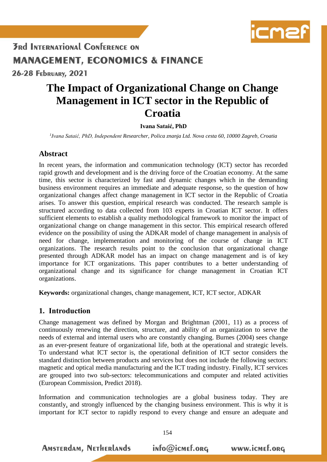

26-28 FEDRUARY, 2021

# **The Impact of Organizational Change on Change Management in ICT sector in the Republic of Croatia**

**Ivana Sataić, PhD**

*1 Ivana Sataić, PhD, Independent Researcher, Polica znanja Ltd. Nova cesta 60, 10000 Zagreb, Croatia*

### **Abstract**

In recent years, the information and communication technology (ICT) sector has recorded rapid growth and development and is the driving force of the Croatian economy. At the same time, this sector is characterized by fast and dynamic changes which in the demanding business environment requires an immediate and adequate response, so the question of how organizational changes affect change management in ICT sector in the Republic of Croatia arises. To answer this question, empirical research was conducted. The research sample is structured according to data collected from 103 experts in Croatian ICT sector. It offers sufficient elements to establish a quality methodological framework to monitor the impact of organizational change on change management in this sector. This empirical research offered evidence on the possibility of using the ADKAR model of change management in analysis of need for change, implementation and monitoring of the course of change in ICT organizations. The research results point to the conclusion that organizational change presented through ADKAR model has an impact on change management and is of key importance for ICT organizations. This paper contributes to a better understanding of organizational change and its significance for change management in Croatian ICT organizations.

**Keywords:** organizational changes, change management, ICT, ICT sector, ADKAR

### **1. Introduction**

Change management was defined by Morgan and Brightman (2001, 11) as a process of continuously renewing the direction, structure, and ability of an organization to serve the needs of external and internal users who are constantly changing. Burnes (2004) sees change as an ever-present feature of organizational life, both at the operational and strategic levels. To understand what ICT sector is, the operational definition of ICT sector considers the standard distinction between products and services but does not include the following sectors: magnetic and optical media manufacturing and the ICT trading industry. Finally, ICT services are grouped into two sub-sectors: telecommunications and computer and related activities (European Commission, Predict 2018).

Information and communication technologies are a global business today. They are constantly, and strongly influenced by the changing business environment. This is why it is important for ICT sector to rapidly respond to every change and ensure an adequate and

154

**AMSTERdAM, NETHERLANDS**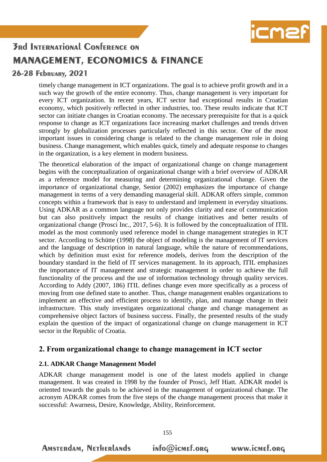

#### 26-28 February, 2021

timely change management in ICT organizations. The goal is to achieve profit growth and in a such way the growth of the entire economy. Thus, change management is very important for every ICT organization. In recent years, ICT sector had exceptional results in Croatian economy, which positively reflected in other industries, too. These results indicate that ICT sector can initiate changes in Croatian economy. The necessary prerequisite for that is a quick response to change as ICT organizations face increasing market challenges and trends driven strongly by globalization processes particularly reflected in this sector. One of the most important issues in considering change is related to the change management role in doing business. Change management, which enables quick, timely and adequate response to changes in the organization, is a key element in modern business.

The theoretical elaboration of the impact of organizational change on change management begins with the conceptualization of organizational change with a brief overview of ADKAR as a reference model for measuring and determining organizational change. Given the importance of organizational change, Senior (2002) emphasizes the importance of change management in terms of a very demanding managerial skill. ADKAR offers simple, common concepts within a framework that is easy to understand and implement in everyday situations. Using ADKAR as a common language not only provides clarity and ease of communication but can also positively impact the results of change initiatives and better results of organizational change (Prosci Inc., 2017, 5-6). It is followed by the conceptualization of ITIL model as the most commonly used reference model in change management strategies in ICT sector. According to Schütte (1998) the object of modeling is the management of IT services and the language of description in natural language, while the nature of recommendations, which by definition must exist for reference models, derives from the description of the boundary standard in the field of IT services management. In its approach, ITIL emphasizes the importance of IT management and strategic management in order to achieve the full functionality of the process and the use of information technology through quality services. According to Addy (2007, 186) ITIL defines change even more specifically as a process of moving from one defined state to another. Thus, change management enables organizations to implement an effective and efficient process to identify, plan, and manage change in their infrastructure. This study investigates organizational change and change management as comprehensive object factors of business success. Finally, the presented results of the study explain the question of the impact of organizational change on change management in ICT sector in the Republic of Croatia.

#### **2. From organizational change to change management in ICT sector**

#### **2.1. ADKAR Change Management Model**

**AMSTERdAM, NETHERLANDS** 

ADKAR change management model is one of the latest models applied in change management. It was created in 1998 by the founder of Prosci, Jeff Hiatt. ADKAR model is oriented towards the goals to be achieved in the management of organizational change. The acronym ADKAR comes from the five steps of the change management process that make it successful: Awarness, Desire, Knowledge, Ability, Reinforcement.

info@icmef.org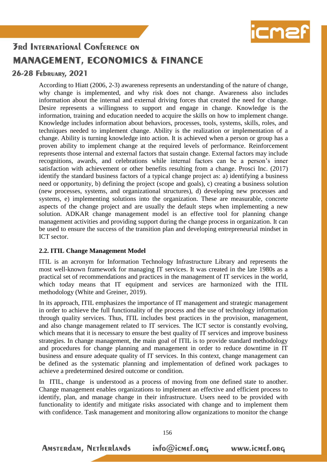

### 26-28 February, 2021

According to Hiatt (2006, 2-3) awareness represents an understanding of the nature of change, why change is implemented, and why risk does not change. Awareness also includes information about the internal and external driving forces that created the need for change. Desire represents a willingness to support and engage in change. Knowledge is the information, training and education needed to acquire the skills on how to implement change. Knowledge includes information about behaviors, processes, tools, systems, skills, roles, and techniques needed to implement change. Ability is the realization or implementation of a change. Ability is turning knowledge into action. It is achieved when a person or group has a proven ability to implement change at the required levels of performance. Reinforcement represents those internal and external factors that sustain change. External factors may include recognitions, awards, and celebrations while internal factors can be a person's inner satisfaction with achievement or other benefits resulting from a change. Prosci Inc. (2017) identify the standard business factors of a typical change project as: a) identifying a business need or opportunity, b) defining the project (scope and goals), c) creating a business solution (new processes, systems, and organizational structures), d) developing new processes and systems, e) implementing solutions into the organization. These are measurable, concrete aspects of the change project and are usually the default steps when implementing a new solution. ADKAR change management model is an effective tool for planning change management activities and providing support during the change process in organization. It can be used to ensure the success of the transition plan and developing entrepreneurial mindset in ICT sector.

#### **2.2. ITIL Change Management Model**

ITIL is an acronym for Information Technology Infrastructure Library and represents the most well-known framework for managing IT services. It was created in the late 1980s as a practical set of recommendations and practices in the management of IT services in the world, which today means that IT equipment and services are harmonized with the ITIL methodology (White and Greiner, 2019).

In its approach, ITIL emphasizes the importance of IT management and strategic management in order to achieve the full functionality of the process and the use of technology information through quality services. Thus, ITIL includes best practices in the provision, management, and also change management related to IT services. The ICT sector is constantly evolving, which means that it is necessary to ensure the best quality of IT services and improve business strategies. In change management, the main goal of ITIL is to provide standard methodology and procedures for change planning and management in order to reduce downtime in IT business and ensure adequate quality of IT services. In this context, change management can be defined as the systematic planning and implementation of defined work packages to achieve a predetermined desired outcome or condition.

In ITIL, change is understood as a process of moving from one defined state to another. Change management enables organizations to implement an effective and efficient process to identify, plan, and manage change in their infrastructure. Users need to be provided with functionality to identify and mitigate risks associated with change and to implement them with confidence. Task management and monitoring allow organizations to monitor the change

156

**AMSTERDAM, NETHERLANDS**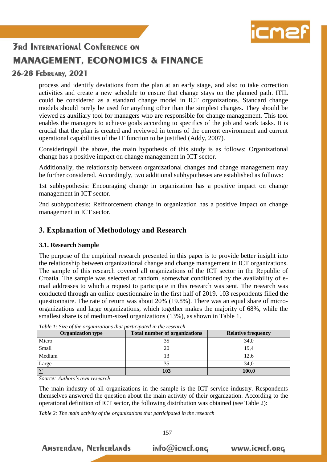

### 26-28 FEDRUARY, 2021

process and identify deviations from the plan at an early stage, and also to take correction activities and create a new schedule to ensure that change stays on the planned path. ITIL could be considered as a standard change model in ICT organizations. Standard change models should rarely be used for anything other than the simplest changes. They should be viewed as auxiliary tool for managers who are responsible for change management. This tool enables the managers to achieve goals according to specifics of the job and work tasks. It is crucial that the plan is created and reviewed in terms of the current environment and current operational capabilities of the IT function to be justified (Addy, 2007).

Consideringall the above, the main hypothesis of this study is as follows: Organizational change has a positive impact on change management in ICT sector.

Additionally, the relationship between organizational changes and change management may be further considered. Accordingly, two additional subhypotheses are established as follows:

1st subhypothesis: Encouraging change in organization has a positive impact on change management in ICT sector.

2nd subhypothesis: Reifnorcement change in organization has a positive impact on change management in ICT sector.

### **3. Explanation of Methodology and Research**

#### **3.1. Research Sample**

The purpose of the empirical research presented in this paper is to provide better insight into the relationship between organizational change and change management in ICT organizations. The sample of this research covered all organizations of the ICT sector in the Republic of Croatia. The sample was selected at random, somewhat conditioned by the availability of email addresses to which a request to participate in this research was sent. The research was conducted through an online questionnaire in the first half of 2019. 103 respondents filled the questionnaire. The rate of return was about 20% (19.8%). There was an equal share of microorganizations and large organizations, which together makes the majority of 68%, while the smallest share is of medium-sized organizations (13%), as shown in Table 1.

| <b>Organization type</b> | <b>Total number of organizations</b> | <b>Relative frequency</b> |
|--------------------------|--------------------------------------|---------------------------|
| Micro                    | 35                                   | 34,0                      |
| Small                    | 20                                   | 19,4                      |
| Medium                   | 13                                   | 12,6                      |
| Large                    | 35                                   | 34,0                      |
|                          | 103                                  | 100,0                     |

*Source: Authors's own research*

**AMSTERDAM, NETHERLANDS** 

The main industry of all organizations in the sample is the ICT service industry. Respondents themselves answered the question about the main activity of their organization. According to the operational definition of ICT sector, the following distribution was obtained (see Table 2):

*Table 2: The main activity of the organizations that participated in the research*

 $in$ fo@icmef.org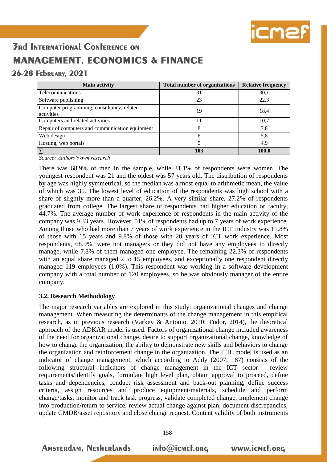

### 26-28 February, 2021

| <b>Main activity</b>                                     | <b>Total number of organizations</b> | <b>Relative frequency</b> |  |
|----------------------------------------------------------|--------------------------------------|---------------------------|--|
| Telecomunications                                        | 31                                   | 30,1                      |  |
| Software publishing                                      | 23                                   | 22,3                      |  |
| Computer programming, consultancy, related<br>activities | 19                                   | 18,4                      |  |
| Computers and related activities                         |                                      | 10.7                      |  |
| Repair of computers and communication equipment          | 8                                    | 7,8                       |  |
| Web design                                               | 6                                    | 5,8                       |  |
| Hosting, web portals                                     |                                      | 4.9                       |  |
|                                                          | 103                                  | 100,0                     |  |

*Source: Authors's own research*

There was 68.9% of men in the sample, while 31.1% of respondents were women. The youngest respondent was 21 and the oldest was 57 years old. The distribution of respondents by age was highly symmetrical, so the median was almost equal to arithmetic mean, the value of which was 35. The lowest level of education of the respondents was high school with a share of slightly more than a quarter, 26.2%. A very similar share, 27.2% of respondents graduated from college. The largest share of respondents had higher education or faculty, 44.7%. The average number of work experience of respondents in the main activity of the company was 9.33 years. However, 51% of respondents had up to 7 years of work experience. Among those who had more than 7 years of work experience in the ICT industry was 11.8% of those with 15 years and 9.8% of those with 20 years of ICT work experience. Most respondents, 68.9%, were not managers or they did not have any employees to directly manage, while 7.8% of them managed one employee. The remaining 22.3% of respondents with an equal share managed 2 to 15 employees, and exceptionally one respondent directly managed 119 employees (1.0%). This respondent was working in a software development company with a total number of 120 employees, so he was obviously manager of the entire company.

#### **3.2. Research Methodology**

The major research variables are explored in this study: organizational changes and change management. When measuring the determinants of the change management in this empirical research, as in previous research (Varkey & Antonio, 2010; Tudor, 2014), the theoretical approach of the ADKAR model is used. Factors of organizational change included awareness of the need for organizational change, desire to support organizational change, knowledge of how to change the organization, the ability to demonstrate new skills and behaviors to change the organization and reinforcement change in the organization. The ITIL model is used as an indicator of change management, which according to Addy (2007, 187) consists of the following structural indicators of change management in the ICT sector: review requirements/identify goals, formulate high level plan, obtain approval to proceed, define tasks and dependencies, conduct risk assessment and back-out planning, define success criteria, assign resources and produce equipment/materials, schedule and perform change/tasks, monitor and track task progress, validate completed change, implement change into production/return to service, review actual change against plan, document discrepancies, update CMDB/asset repository and close change request. Content validity of both instruments

**AMSTERdAM, NETHERLANDS**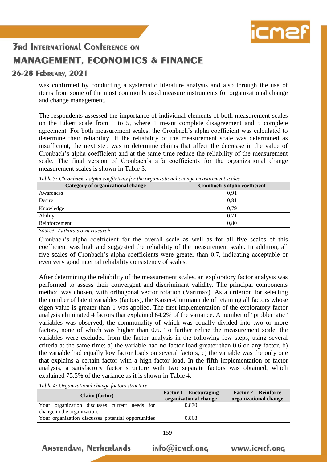

#### 26-28 FEDRUARY, 2021

was confirmed by conducting a systematic literature analysis and also through the use of items from some of the most commonly used measure instruments for organizational change and change management.

The respondents assessed the importance of individual elements of both measurement scales on the Likert scale from 1 to 5, where 1 meant complete disagreement and 5 complete agreement. For both measurement scales, the Cronbach's alpha coefficient was calculated to determine their reliability. If the reliability of the measurement scale was determined as insufficient, the next step was to determine claims that affect the decrease in the value of Cronbach's alpha coefficient and at the same time reduce the reliability of the measurement scale. The final version of Cronbach's alfa coefficients for the organizational change measurement scales is shown in Table 3.

| Category of organizational change | Cronbach's alpha coefficient |
|-----------------------------------|------------------------------|
| Awareness                         | 0.91                         |
| Desire                            | 0.81                         |
| Knowledge                         | 0.79                         |
| Ability                           | 0.71                         |
| Reinforcement                     | 0.80                         |

*Table 3: Chronbach's alpha coefficients for the organizational change measurement scales*

*Source: Authors's own research*

Cronbach's alpha coefficient for the overall scale as well as for all five scales of this coefficient was high and suggested the reliability of the measurement scale. In addition, all five scales of Cronbach's alpha coefficients were greater than 0.7, indicating acceptable or even very good internal reliability consistency of scales.

After determining the reliability of the measurement scales, an exploratory factor analysis was performed to assess their convergent and discriminant validity. The principal components method was chosen, with orthogonal vector rotation (Varimax). As a criterion for selecting the number of latent variables (factors), the Kaiser-Guttman rule of retaining all factors whose eigen value is greater than 1 was applied. The first implementation of the exploratory factor analysis eliminated 4 factors that explained 64.2% of the variance. A number of "problematic" variables was observed, the communality of which was equally divided into two or more factors, none of which was higher than 0.6. To further refine the measurement scale, the variables were excluded from the factor analysis in the following few steps, using several criteria at the same time: a) the variable had no factor load greater than 0.6 on any factor, b) the variable had equally low factor loads on several factors, c) the variable was the only one that explains a certain factor with a high factor load. In the fifth implementation of factor analysis, a satisfactory factor structure with two separate factors was obtained, which explained 75.5% of the variance as it is shown in Table 4.

*Table 4: Organizational change factors structure*

| <b>Claim</b> (factor)                               | $Factor 1 - Encouraging$<br>organizational change | <b>Factor 2 – Reinforce</b><br>organizational change |
|-----------------------------------------------------|---------------------------------------------------|------------------------------------------------------|
| Your organization discusses current needs for       | 0.870                                             |                                                      |
| change in the organization.                         |                                                   |                                                      |
| Your organization discusses potential opportunities | 0.868                                             |                                                      |

**AMSTERdAM, NETHERLANDS**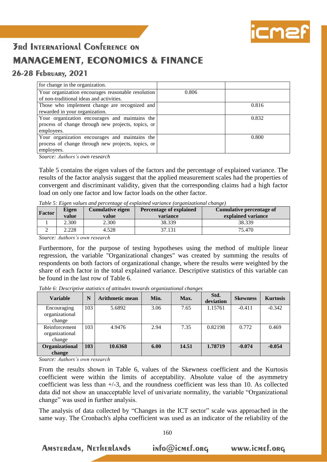

### 26-28 February, 2021

| for change in the organization.                                                                |       |       |
|------------------------------------------------------------------------------------------------|-------|-------|
| Your organization encourages reasonable resolution<br>of non-traditional ideas and activities. | 0.806 |       |
|                                                                                                |       |       |
| Those who implement change are recognized and                                                  |       | 0.816 |
| rewarded in your organization.                                                                 |       |       |
| Your organization encourages and maintains the                                                 |       | 0.832 |
| process of change through new projects, topics, or                                             |       |       |
| employees.                                                                                     |       |       |
| Your organization encourages and maintains the                                                 |       | 0.800 |
| process of change through new projects, topics, or                                             |       |       |
| employees.                                                                                     |       |       |

*Source: Authors's own research*

Table 5 contains the eigen values of the factors and the percentage of explained variance. The results of the factor analysis suggest that the applied measurement scales had the properties of convergent and discriminant validity, given that the corresponding claims had a high factor load on only one factor and low factor loads on the other factor.

| <b>Factor</b> | Eigen<br>value | <b>Cumulative eigen</b><br>value | <b>Percentage of explained</b><br>variance | <b>Cumulative percentage of</b><br>explained variance |
|---------------|----------------|----------------------------------|--------------------------------------------|-------------------------------------------------------|
|               | 2.300          | 2.300                            | 38.339                                     | 38.339                                                |
|               | 2.228          | 4.528                            | 37.131                                     | 75.470                                                |

*Table 5: Eigen values and percentage of explained variance (organizational change)*

*Source: Authors's own research*

Furthermore, for the purpose of testing hypotheses using the method of multiple linear regression, the variable "Organizational changes" was created by summing the results of respondents on both factors of organizational change, where the results were weighted by the share of each factor in the total explained variance. Descriptive statistics of this variable can be found in the last row of Table 6.

| Table 6: Descriptive statistics of attitudes towards organizational changes |
|-----------------------------------------------------------------------------|
|-----------------------------------------------------------------------------|

| <b>Variable</b>          | N   | Arithmetic mean | Min. | Max.  | Std.<br>deviation | <b>Skewness</b> | <b>Kurtosis</b> |
|--------------------------|-----|-----------------|------|-------|-------------------|-----------------|-----------------|
| Encouraging              | 103 | 5.6892          | 3.06 | 7.65  | 1.15761           | $-0.411$        | $-0.342$        |
| organizational<br>change |     |                 |      |       |                   |                 |                 |
|                          |     |                 |      |       |                   |                 |                 |
| Reinforcement            | 103 | 4.9476          | 2.94 | 7.35  | 0.82198           | 0.772           | 0.469           |
| organizational           |     |                 |      |       |                   |                 |                 |
| change                   |     |                 |      |       |                   |                 |                 |
| Organizational           | 103 | 10.6368         | 6.00 | 14.51 | 1.78719           | $-0.074$        | $-0.054$        |
| change                   |     |                 |      |       |                   |                 |                 |

*Source: Authors's own research*

From the results shown in Table 6, values of the Skewness coefficient and the Kurtosis coefficient were within the limits of acceptability. Absolute value of the asymmetry coefficient was less than +/-3, and the roundness coefficient was less than 10. As collected data did not show an unacceptable level of univariate normality, the variable "Organizational change" was used in further analysis.

The analysis of data collected by "Changes in the ICT sector" scale was approached in the same way. The Cronbach's alpha coefficient was used as an indicator of the reliability of the

**AMSTERdAM, NETHERLANDS**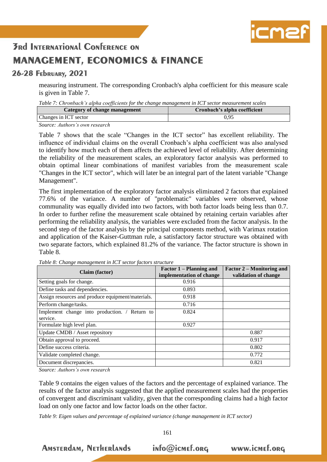

### 26-28 FEDRUARY, 2021

measuring instrument. The corresponding Cronbach's alpha coefficient for this measure scale is given in Table 7.

*Table 7: Chronbach's alpha coefficients for the change management in ICT sector measurement scales*

| Category of change management | Cronbach's alpha coefficient |  |  |
|-------------------------------|------------------------------|--|--|
| Changes in ICT sector         | 0.95                         |  |  |

*Source: Authors's own research*

Table 7 shows that the scale "Changes in the ICT sector" has excellent reliability. The influence of individual claims on the overall Cronbach's alpha coefficient was also analysed to identify how much each of them affects the achieved level of reliability. After determining the reliability of the measurement scales, an exploratory factor analysis was performed to obtain optimal linear combinations of manifest variables from the measurement scale "Changes in the ICT sector", which will later be an integral part of the latent variable "Change Management".

The first implementation of the exploratory factor analysis eliminated 2 factors that explained 77.6% of the variance. A number of "problematic" variables were observed, whose communality was equally divided into two factors, with both factor loads being less than 0.7. In order to further refine the measurement scale obtained by retaining certain variables after performing the reliability analysis, the variables were excluded from the factor analysis. In the second step of the factor analysis by the principal components method, with Varimax rotation and application of the Kaiser-Guttman rule, a satisfactory factor structure was obtained with two separate factors, which explained 81.2% of the variance. The factor structure is shown in Table 8.

| Claim (factor)                                    | Factor 1 – Planning and<br>implementation of change | <b>Factor 2 – Monitoring and</b><br>validation of change |
|---------------------------------------------------|-----------------------------------------------------|----------------------------------------------------------|
| Setting goals for change.                         | 0.916                                               |                                                          |
| Define tasks and dependencies.                    | 0.893                                               |                                                          |
| Assign resources and produce equipment/materials. | 0.918                                               |                                                          |
| Perform change/tasks.                             | 0.716                                               |                                                          |
| Implement change into production. / Return to     | 0.824                                               |                                                          |
| service.                                          |                                                     |                                                          |
| Formulate high level plan.                        | 0.927                                               |                                                          |
| Update CMDB / Asset repository                    |                                                     | 0.887                                                    |
| Obtain approval to proceed.                       |                                                     | 0.917                                                    |
| Define success criteria.                          |                                                     | 0.802                                                    |
| Validate completed change.                        |                                                     | 0.772                                                    |
| Document discrepancies.                           |                                                     | 0.821                                                    |

*Table 8: Change management in ICT sector factors structure*

*Source: Authors's own research*

**AMSTERdAM, NETHERLANDS** 

Table 9 contains the eigen values of the factors and the percentage of explained variance. The results of the factor analysis suggested that the applied measurement scales had the properties of convergent and discriminant validity, given that the corresponding claims had a high factor load on only one factor and low factor loads on the other factor.

*Table 9: Eigen values and percentage of explained variance (change management in ICT sector)*

 $in$ fo@icmef.org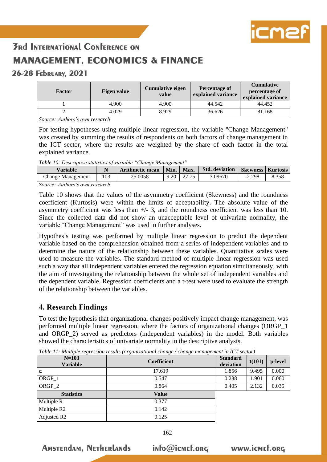

### 26-28 FEDRUARY, 2021

| <b>Factor</b> | Eigen value | Cumulative eigen<br>value | Percentage of<br>explained variance | <b>Cumulative</b><br>percentage of<br>explained variance |
|---------------|-------------|---------------------------|-------------------------------------|----------------------------------------------------------|
|               | 4.900       | 4.900                     | 44.542                              | 44.452                                                   |
|               | 4.029       | 8.929                     | 36.626                              | 81.168                                                   |

*Source: Authors's own research*

For testing hypotheses using multiple linear regression, the variable "Change Management" was created by summing the results of respondents on both factors of change management in the ICT sector, where the results are weighted by the share of each factor in the total explained variance.

*Table 10: Descriptive statistics of variable "Change Management"*

| <b>Variable</b>          |     | Arithmetic mean | Min.   | Max.  | <b>Std.</b> deviation | Skewness   Kurtosis |       |
|--------------------------|-----|-----------------|--------|-------|-----------------------|---------------------|-------|
| <b>Change Management</b> | .03 | 25.0058         | $9.20$ | 27.75 | 3.09670               | $-2.298$            | 8.358 |
|                          |     |                 |        |       |                       |                     |       |

*Source: Authors's own research*

Table 10 shows that the values of the asymmetry coefficient (Skewness) and the roundness coefficient (Kurtosis) were within the limits of acceptability. The absolute value of the asymmetry coefficient was less than  $+/- 3$ , and the roundness coefficient was less than 10. Since the collected data did not show an unacceptable level of univariate normality, the variable "Change Management" was used in further analyses.

Hypothesis testing was performed by multiple linear regression to predict the dependent variable based on the comprehension obtained from a series of independent variables and to determine the nature of the relationship between these variables. Quantitative scales were used to measure the variables. The standard method of multiple linear regression was used such a way that all independent variables entered the regression equation simultaneously, with the aim of investigating the relationship between the whole set of independent variables and the dependent variable. Regression coefficients and a t-test were used to evaluate the strength of the relationship between the variables.

### **4. Research Findings**

To test the hypothesis that organizational changes positively impact change management, was performed multiple linear regression, where the factors of organizational changes (ORGP\_1 and ORGP\_2) served as predictors (independent variables) in the model. Both variables showed the characteristics of univariate normality in the descriptive analysis.

| $N = 103$<br><b>Variable</b> | <b>Coefficient</b> | <b>Standard</b><br>deviation | t(101) | p-level |
|------------------------------|--------------------|------------------------------|--------|---------|
| α                            | 17.619             | 1.856                        | 9.495  | 0.000   |
| ORGP 1                       | 0.547              | 0.288                        | 1.901  | 0.060   |
| ORGP <sub>2</sub>            | 0.864              | 0.405                        | 2.132  | 0.035   |
| <b>Statistics</b>            | <b>Value</b>       |                              |        |         |
| Multiple R                   | 0.377              |                              |        |         |
| Multiple R2                  | 0.142              |                              |        |         |
| Adjusted R2                  | 0.125              |                              |        |         |

*Table 11: Multiple regression results (organizational change / change management in ICT sector)*



**AMSTERdAM, NETHERLANDS**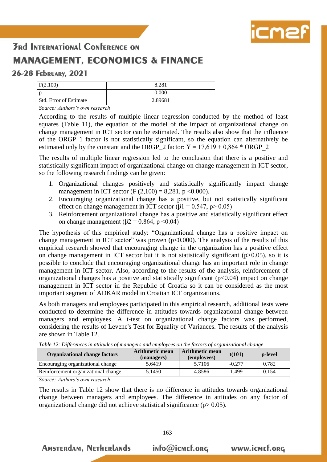

### 26-28 February, 2021

| F(2.100)               | 8.281   |
|------------------------|---------|
| ın                     | 0.000   |
| Std. Error of Estimate | 2.89681 |

*Source: Authors's own research*

According to the results of multiple linear regression conducted by the method of least squares (Table 11), the equation of the model of the impact of organizational change on change management in ICT sector can be estimated. The results also show that the influence of the ORGP\_1 factor is not statistically significant, so the equation can alternatively be estimated only by the constant and the ORGP\_2 factor:  $\overline{Y} = 17{,}619 + 0{,}864 *$  ORGP\_2

The results of multiple linear regression led to the conclusion that there is a positive and statistically significant impact of organizational change on change management in ICT sector, so the following research findings can be given:

- 1. Organizational changes positively and statistically significantly impact change management in ICT sector (F  $(2,100) = 8,281, p < 0.000$ ).
- 2. Encouraging organizational change has a positive, but not statistically significant effect on change management in ICT sector ( $\beta$ 1 = 0.547, p> 0.05)
- 3. Reinforcement organizational change has a positive and statistically significant effect on change management ( $β2 = 0.864$ , p < 0.04)

The hypothesis of this empirical study: "Organizational change has a positive impact on change management in ICT sector" was proven  $(p<0.000)$ . The analysis of the results of this empirical research showed that encouraging change in the organization has a positive effect on change management in ICT sector but it is not statistically significant ( $p > 0.05$ ), so it is possible to conclude that encouraging organizational change has an important role in change management in ICT sector. Also, according to the results of the analysis, reinforcement of organizational changes has a positive and statistically significant  $(p<0.04)$  impact on change management in ICT sector in the Republic of Croatia so it can be considered as the most important segment of ADKAR model in Croatian ICT organizations.

As both managers and employees participated in this empirical research, additional tests were conducted to determine the difference in attitudes towards organizational change between managers and employees. A t-test on organizational change factors was performed, considering the results of Levene's Test for Equality of Variances. The results of the analysis are shown in Table 12.

| <b>Organizational change factors</b> | <b>Arithmetic mean</b><br>(managers) | <b>Arithmetic mean</b><br>(employees) | t(101)   | <b>p</b> -level |
|--------------------------------------|--------------------------------------|---------------------------------------|----------|-----------------|
| Encouraging organizational change    | 5.6419                               | 5.7106                                | $-0.277$ | 0.782           |
| Reinforcement organizational change  | 5.1450                               | 4.8586                                | 1.499    | 0.154           |

*Table 12: Differences in attitudes of managers and employees on the factors of organizational change*

*Source: Authors's own research*

The results in Table 12 show that there is no difference in attitudes towards organizational change between managers and employees. The difference in attitudes on any factor of organizational change did not achieve statistical significance ( $p$  > 0.05).

#### 163

**AMSTERdAM, NETHERLANDS**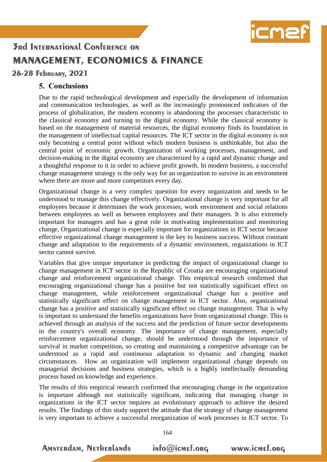

26-28 February, 2021

#### **5. Conclusions**

Due to the rapid technological development and especially the development of information and communication technologies, as well as the increasingly pronounced indicators of the process of globalization, the modern economy is abandoning the processes characteristic to the classical economy and turning to the digital economy. While the classical economy is based on the management of material resources, the digital economy finds its foundation in the management of intellectual capital resources. The ICT sector in the digital economy is not only becoming a central point without which modern business is unthinkable, but also the central point of economic growth. Organization of working processes, management, and decision-making in the digital economy are characterized by a rapid and dynamic change and a thoughtful response to it in order to achieve profit growth. In modern business, a successful change management strategy is the only way for an organization to survive in an environment where there are more and more competitors every day.

Organizational change is a very complex question for every organization and needs to be understood to manage this change effectively. Organizational change is very important for all employees because it determines the work processes, work environment and social relations between employees as well as between employees and their managers. It is also extremely important for managers and has a great role in motivating implementation and monitoring change. Organizational change is especially important for organizations in ICT sector because effective organizational change management is the key to business success. Without constant change and adaptation to the requirements of a dynamic environment, organizations in ICT sector cannot survive.

Variables that give unique importance in predicting the impact of organizational change to change management in ICT sector in the Republic of Croatia are encouraging organizational change and reinforcement organizational change. This empirical research confirmed that encouraging organizational change has a positive but not statistically significant effect on change management, while reinforcement organizational change has a positive and statistically significant effect on change management in ICT sector. Also, organizational change has a positive and statistically significant effect on change management. That is why is important to understand the benefits organizations have from organizational change. This is achieved through an analysis of the success and the prediction of future sector developments in the country's overall economy. The importance of change management, especially reinforcement organizational change, should be understood through the importance of survival in market competition, so creating and maintaining a competitive advantage can be understood as a rapid and continuous adaptation to dynamic and changing market circumstances. How an organization will implement organizational change depends on managerial decisions and business strategies, which is a highly intellectually demanding process based on knowledge and experience.

The results of this empirical research confirmed that encouraging change in the organization is important although not statistically significant, indicating that managing change in organizations in the ICT sector requires an evolutionary approach to achieve the desired results. The findings of this study support the attitude that the strategy of change management is very important to achieve a successful reorganization of work processes in ICT sector. To

**AMSTERdAM, NETHERLANDS** 

 $in$ fo@icmef.org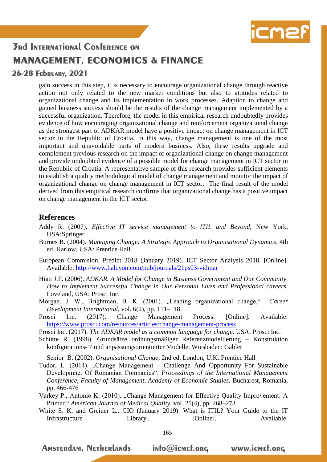

#### 26-28 FEDRUARY, 2021

gain success in this step, it is necessary to encourage organizational change through reactive action not only related to the new market conditions but also to attitudes related to organizational change and its implementation in work processes. Adaption to change and gained business success should be the results of the change management implemented by a successful organization. Therefore, the model in this empirical research undoubtedly provides evidence of how encouraging organizational change and reinforcement organizational change as the strongest part of ADKAR model have a positive impact on change management in ICT sector in the Republic of Croatia. In this way, change management is one of the most important and unavoidable parts of modern business. Also, these results upgrade and complement previous research on the impact of organizational change on change management and provide undoubted evidence of a possible model for change management in ICT sector in the Republic of Croatia. A representative sample of this research provides sufficient elements to establish a quality methodological model of change management and monitor the impact of organizational change on change management in ICT sector. The final result of the model derived from this empirical research confirms that organizational change has a positive impact on change management in the ICT sector.

#### **References**

- Addy R. (2007). *Effective IT service management to ITIL and Beyond*, New York, USA:Springer
- Burnes B. (2004). *Managing Change: A Strategic Approach to Organisational Dynamics,* 4th ed. Harlow, USA: Prentice Hall.
- European Commision, Predict 2018 (January 2019). ICT Sector Analysis 2018. [Online]. Available:<http://www.halcyon.com/pub/journals/21ps03-vidmar>
- Hiatt J.F. (2006). *ADKAR. A Model for Change in Busienss Government and Our Community. How to Implement Successful Change in Our Personal Lives and Professional careers.* Loveland, USA: Prosci Inc.
- Morgan, J. W., Brightman, B. K. (2001). "Leading organizational change," *Career Development International,* vol. 6(2), pp. 111–118.
- Prosci Inc. (2017). Change Management Process. [Online]. Available: <https://www.prosci.com/resources/articles/change-management-process>
- Prosci Inc. (2017). *The ADKAR model as a common language for change*. USA: Prosci Inc.
- Schütte R. (1998). Grundsätze ordnungsmäßiger Referenzmodellierung Konstruktion konfigurations- 7 und anpassungsorientierter Modelle. Wiesbaden: Gabler

Senior B. (2002). *Organisational Change*, 2nd ed. London, U.K.:Prentice Hall

- Tudor, L. (2014). "Change Management Challenge And Opportunity For Sustainable Developmnet Of Romanian Companies". *Proceedings of the International Management Conference, Faculty of Management, Academy of Economic Studies.* Bucharest, Romania, pp. 466-476
- Varkey P., Antonio K. (2010). "Change Management for Effective Quality Improvement: A Primer," *American Journal of Medical Quality,* vol. 25(4), pp. 268–273
- White S. K. and Greiner L., CIO (January 2019). What is ITIL? Your Guide to the IT Infrastructure Library. [Online]. Available:

**AMSTERdAM, NETHERLANDS** 

 $in$ fo@icmef.org